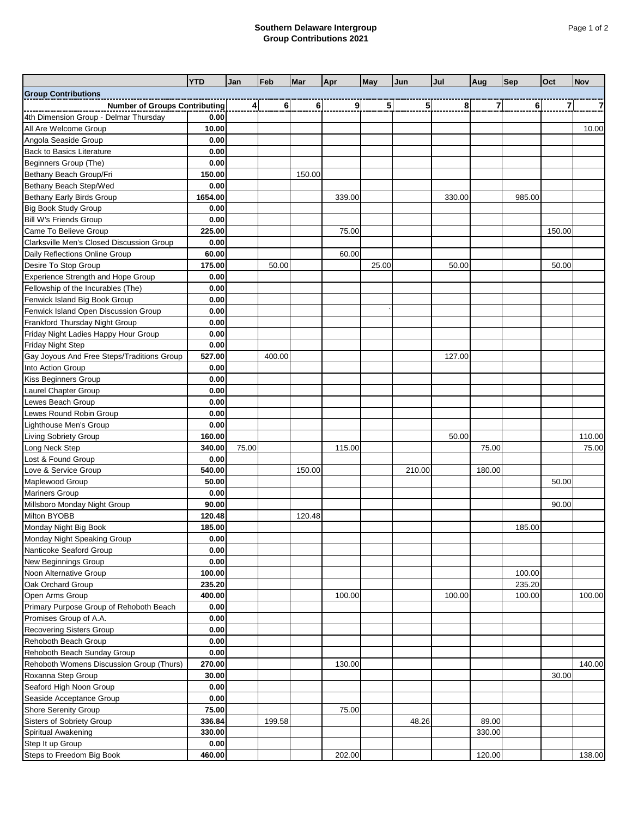## **Southern Delaware Intergroup Group Contributions 2021**

|                                                  | <b>YTD</b>      | Jan     | Feb    | <b>Mar</b> | Apr    | May            | Jun            | Jul    | Aug            | <b>Sep</b> | Oct    | <b>Nov</b> |
|--------------------------------------------------|-----------------|---------|--------|------------|--------|----------------|----------------|--------|----------------|------------|--------|------------|
| <b>Group Contributions</b>                       |                 |         |        |            |        |                |                |        |                |            |        |            |
| <b>Number of Groups Contributing</b>             |                 | $\vert$ | 6      | 6          | 9      | 5 <sup>1</sup> | 5 <sub>l</sub> | 8      | $\overline{7}$ | 6          | 7      | 7          |
| 4th Dimension Group - Delmar Thursday            | 0.00            |         |        |            |        |                |                |        |                |            |        |            |
| All Are Welcome Group                            | 10.00           |         |        |            |        |                |                |        |                |            |        | 10.00      |
| Angola Seaside Group                             | 0.00            |         |        |            |        |                |                |        |                |            |        |            |
| <b>Back to Basics Literature</b>                 | 0.00            |         |        |            |        |                |                |        |                |            |        |            |
| Beginners Group (The)                            | 0.00            |         |        |            |        |                |                |        |                |            |        |            |
| Bethany Beach Group/Fri                          | 150.00          |         |        | 150.00     |        |                |                |        |                |            |        |            |
| Bethany Beach Step/Wed                           | 0.00            |         |        |            |        |                |                |        |                |            |        |            |
| Bethany Early Birds Group                        | 1654.00         |         |        |            | 339.00 |                |                | 330.00 |                | 985.00     |        |            |
| <b>Big Book Study Group</b>                      | 0.00            |         |        |            |        |                |                |        |                |            |        |            |
| <b>Bill W's Friends Group</b>                    | 0.00            |         |        |            |        |                |                |        |                |            |        |            |
| Came To Believe Group                            | 225.00          |         |        |            | 75.00  |                |                |        |                |            | 150.00 |            |
| Clarksville Men's Closed Discussion Group        | 0.00            |         |        |            |        |                |                |        |                |            |        |            |
| Daily Reflections Online Group                   | 60.00           |         |        |            | 60.00  |                |                |        |                |            |        |            |
| Desire To Stop Group                             | 175.00          |         | 50.00  |            |        | 25.00          |                | 50.00  |                |            | 50.00  |            |
| Experience Strength and Hope Group               | 0.00            |         |        |            |        |                |                |        |                |            |        |            |
| Fellowship of the Incurables (The)               | 0.00            |         |        |            |        |                |                |        |                |            |        |            |
| Fenwick Island Big Book Group                    | 0.00            |         |        |            |        |                |                |        |                |            |        |            |
| Fenwick Island Open Discussion Group             | 0.00            |         |        |            |        |                |                |        |                |            |        |            |
| Frankford Thursday Night Group                   | 0.00            |         |        |            |        |                |                |        |                |            |        |            |
| Friday Night Ladies Happy Hour Group             | 0.00            |         |        |            |        |                |                |        |                |            |        |            |
| Friday Night Step                                | 0.00            |         |        |            |        |                |                |        |                |            |        |            |
| Gay Joyous And Free Steps/Traditions Group       | 527.00          |         | 400.00 |            |        |                |                | 127.00 |                |            |        |            |
| Into Action Group                                | 0.00            |         |        |            |        |                |                |        |                |            |        |            |
| Kiss Beginners Group                             | 0.00            |         |        |            |        |                |                |        |                |            |        |            |
| Laurel Chapter Group                             | 0.00            |         |        |            |        |                |                |        |                |            |        |            |
| Lewes Beach Group                                | 0.00            |         |        |            |        |                |                |        |                |            |        |            |
| Lewes Round Robin Group                          | 0.00            |         |        |            |        |                |                |        |                |            |        |            |
| Lighthouse Men's Group                           | 0.00            |         |        |            |        |                |                |        |                |            |        |            |
| Living Sobriety Group                            | 160.00          |         |        |            |        |                |                | 50.00  |                |            |        | 110.00     |
| Long Neck Step                                   | 340.00          | 75.00   |        |            | 115.00 |                |                |        | 75.00          |            |        | 75.00      |
| Lost & Found Group                               | 0.00            |         |        |            |        |                |                |        |                |            |        |            |
| Love & Service Group                             | 540.00          |         |        | 150.00     |        |                | 210.00         |        | 180.00         |            |        |            |
| Maplewood Group                                  | 50.00           |         |        |            |        |                |                |        |                |            | 50.00  |            |
| <b>Mariners Group</b>                            | 0.00            |         |        |            |        |                |                |        |                |            |        |            |
| Millsboro Monday Night Group                     | 90.00           |         |        |            |        |                |                |        |                |            | 90.00  |            |
| Milton BYOBB                                     | 120.48          |         |        | 120.48     |        |                |                |        |                |            |        |            |
| Monday Night Big Book                            | 185.00          |         |        |            |        |                |                |        |                | 185.00     |        |            |
| Monday Night Speaking Group                      | 0.00            |         |        |            |        |                |                |        |                |            |        |            |
| Nanticoke Seaford Group                          | 0.00            |         |        |            |        |                |                |        |                |            |        |            |
| New Beginnings Group                             | 0.00            |         |        |            |        |                |                |        |                |            |        |            |
| Noon Alternative Group                           | 100.00          |         |        |            |        |                |                |        |                | 100.00     |        |            |
| Oak Orchard Group                                | 235.20          |         |        |            |        |                |                |        |                | 235.20     |        |            |
| Open Arms Group                                  | 400.00          |         |        |            | 100.00 |                |                | 100.00 |                | 100.00     |        | 100.00     |
| Primary Purpose Group of Rehoboth Beach          | 0.00            |         |        |            |        |                |                |        |                |            |        |            |
| Promises Group of A.A.                           | 0.00            |         |        |            |        |                |                |        |                |            |        |            |
| Recovering Sisters Group<br>Rehoboth Beach Group | 0.00<br>0.00    |         |        |            |        |                |                |        |                |            |        |            |
| Rehoboth Beach Sunday Group                      | 0.00            |         |        |            |        |                |                |        |                |            |        |            |
| Rehoboth Womens Discussion Group (Thurs)         |                 |         |        |            |        |                |                |        |                |            |        |            |
| Roxanna Step Group                               | 270.00<br>30.00 |         |        |            | 130.00 |                |                |        |                |            | 30.00  | 140.00     |
| Seaford High Noon Group                          | 0.00            |         |        |            |        |                |                |        |                |            |        |            |
| Seaside Acceptance Group                         | 0.00            |         |        |            |        |                |                |        |                |            |        |            |
| Shore Serenity Group                             | 75.00           |         |        |            | 75.00  |                |                |        |                |            |        |            |
| Sisters of Sobriety Group                        | 336.84          |         | 199.58 |            |        |                | 48.26          |        | 89.00          |            |        |            |
| Spiritual Awakening                              | 330.00          |         |        |            |        |                |                |        | 330.00         |            |        |            |
| Step It up Group                                 | 0.00            |         |        |            |        |                |                |        |                |            |        |            |
| Steps to Freedom Big Book                        | 460.00          |         |        |            | 202.00 |                |                |        | 120.00         |            |        | 138.00     |
|                                                  |                 |         |        |            |        |                |                |        |                |            |        |            |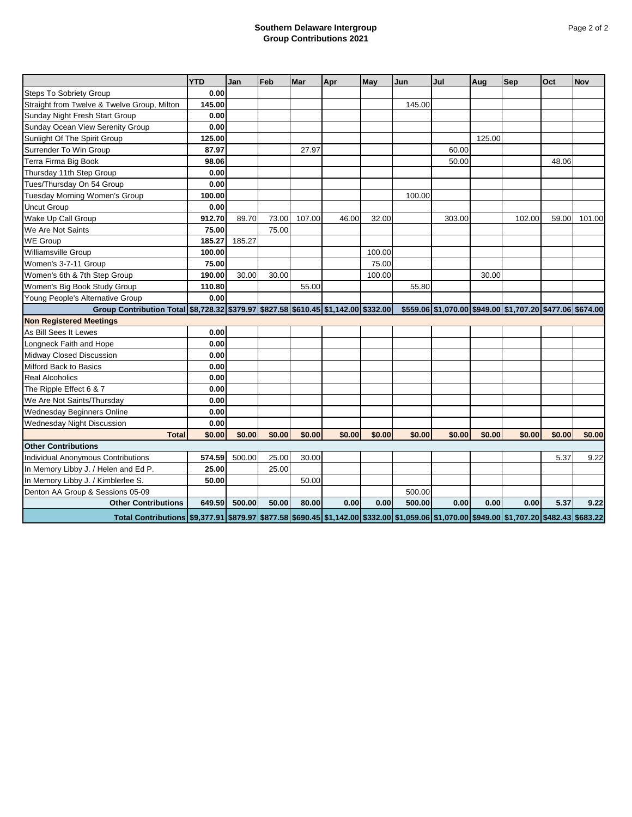## **Southern Delaware Intergroup Group Contributions 2021**

|                                                                                                                                           | <b>YTD</b> | Jan    | Feb    | <b>Mar</b> | Apr    | May    | Jun    | Jul    | Aug    | Sep                                                       | Oct    | <b>Nov</b> |
|-------------------------------------------------------------------------------------------------------------------------------------------|------------|--------|--------|------------|--------|--------|--------|--------|--------|-----------------------------------------------------------|--------|------------|
| <b>Steps To Sobriety Group</b>                                                                                                            | 0.00       |        |        |            |        |        |        |        |        |                                                           |        |            |
| Straight from Twelve & Twelve Group, Milton                                                                                               | 145.00     |        |        |            |        |        | 145.00 |        |        |                                                           |        |            |
| Sunday Night Fresh Start Group                                                                                                            | 0.00       |        |        |            |        |        |        |        |        |                                                           |        |            |
| Sunday Ocean View Serenity Group                                                                                                          | 0.00       |        |        |            |        |        |        |        |        |                                                           |        |            |
| Sunlight Of The Spirit Group                                                                                                              | 125.00     |        |        |            |        |        |        |        | 125.00 |                                                           |        |            |
| Surrender To Win Group                                                                                                                    | 87.97      |        |        | 27.97      |        |        |        | 60.00  |        |                                                           |        |            |
| Terra Firma Big Book                                                                                                                      | 98.06      |        |        |            |        |        |        | 50.00  |        |                                                           | 48.06  |            |
| Thursday 11th Step Group                                                                                                                  | 0.00       |        |        |            |        |        |        |        |        |                                                           |        |            |
| Tues/Thursday On 54 Group                                                                                                                 | 0.00       |        |        |            |        |        |        |        |        |                                                           |        |            |
| Tuesday Morning Women's Group                                                                                                             | 100.00     |        |        |            |        |        | 100.00 |        |        |                                                           |        |            |
| Uncut Group                                                                                                                               | 0.00       |        |        |            |        |        |        |        |        |                                                           |        |            |
| Wake Up Call Group                                                                                                                        | 912.70     | 89.70  | 73.00  | 107.00     | 46.00  | 32.00  |        | 303.00 |        | 102.00                                                    | 59.00  | 101.00     |
| We Are Not Saints                                                                                                                         | 75.00      |        | 75.00  |            |        |        |        |        |        |                                                           |        |            |
| <b>WE Group</b>                                                                                                                           | 185.27     | 185.27 |        |            |        |        |        |        |        |                                                           |        |            |
| <b>Williamsville Group</b>                                                                                                                | 100.00     |        |        |            |        | 100.00 |        |        |        |                                                           |        |            |
| Women's 3-7-11 Group                                                                                                                      | 75.00      |        |        |            |        | 75.00  |        |        |        |                                                           |        |            |
| Women's 6th & 7th Step Group                                                                                                              | 190.00     | 30.00  | 30.00  |            |        | 100.00 |        |        | 30.00  |                                                           |        |            |
| Women's Big Book Study Group                                                                                                              | 110.80     |        |        | 55.00      |        |        | 55.80  |        |        |                                                           |        |            |
| Young People's Alternative Group                                                                                                          | 0.00       |        |        |            |        |        |        |        |        |                                                           |        |            |
| Group Contribution Total \$8,728.32 \$379.97 \$827.58 \$610.45 \$1,142.00 \$332.00                                                        |            |        |        |            |        |        |        |        |        | \$559.06 \$1,070.00 \$949.00 \$1,707.20 \$477.06 \$674.00 |        |            |
| <b>Non Registered Meetings</b>                                                                                                            |            |        |        |            |        |        |        |        |        |                                                           |        |            |
| As Bill Sees It Lewes                                                                                                                     | 0.00       |        |        |            |        |        |        |        |        |                                                           |        |            |
| Longneck Faith and Hope                                                                                                                   | 0.00       |        |        |            |        |        |        |        |        |                                                           |        |            |
| Midway Closed Discussion                                                                                                                  | 0.00       |        |        |            |        |        |        |        |        |                                                           |        |            |
| Milford Back to Basics                                                                                                                    | 0.00       |        |        |            |        |        |        |        |        |                                                           |        |            |
| <b>Real Alcoholics</b>                                                                                                                    | 0.00       |        |        |            |        |        |        |        |        |                                                           |        |            |
| The Ripple Effect 6 & 7                                                                                                                   | 0.00       |        |        |            |        |        |        |        |        |                                                           |        |            |
| We Are Not Saints/Thursday                                                                                                                | 0.00       |        |        |            |        |        |        |        |        |                                                           |        |            |
| <b>Wednesday Beginners Online</b>                                                                                                         | 0.00       |        |        |            |        |        |        |        |        |                                                           |        |            |
| <b>Wednesday Night Discussion</b>                                                                                                         | 0.00       |        |        |            |        |        |        |        |        |                                                           |        |            |
| <b>Total</b>                                                                                                                              | \$0.00     | \$0.00 | \$0.00 | \$0.00     | \$0.00 | \$0.00 | \$0.00 | \$0.00 | \$0.00 | \$0.00                                                    | \$0.00 | \$0.00     |
| <b>Other Contributions</b>                                                                                                                |            |        |        |            |        |        |        |        |        |                                                           |        |            |
| <b>Individual Anonymous Contributions</b>                                                                                                 | 574.59     | 500.00 | 25.00  | 30.00      |        |        |        |        |        |                                                           | 5.37   | 9.22       |
| In Memory Libby J. / Helen and Ed P.                                                                                                      | 25.00      |        | 25.00  |            |        |        |        |        |        |                                                           |        |            |
| In Memory Libby J. / Kimblerlee S.                                                                                                        | 50.00      |        |        | 50.00      |        |        |        |        |        |                                                           |        |            |
| Denton AA Group & Sessions 05-09                                                                                                          |            |        |        |            |        |        | 500.00 |        |        |                                                           |        |            |
| <b>Other Contributions</b>                                                                                                                | 649.59     | 500.00 | 50.00  | 80.00      | 0.00   | 0.00   | 500.00 | 0.00   | 0.00   | 0.00                                                      | 5.37   | 9.22       |
| Total Contributions \$9,377.91 \$879.97 \$877.58 \$690.45 \$1,142.00 \$332.00 \$1,059.06 \$1,070.00 \$949.00 \$1,707.20 \$482.43 \$683.22 |            |        |        |            |        |        |        |        |        |                                                           |        |            |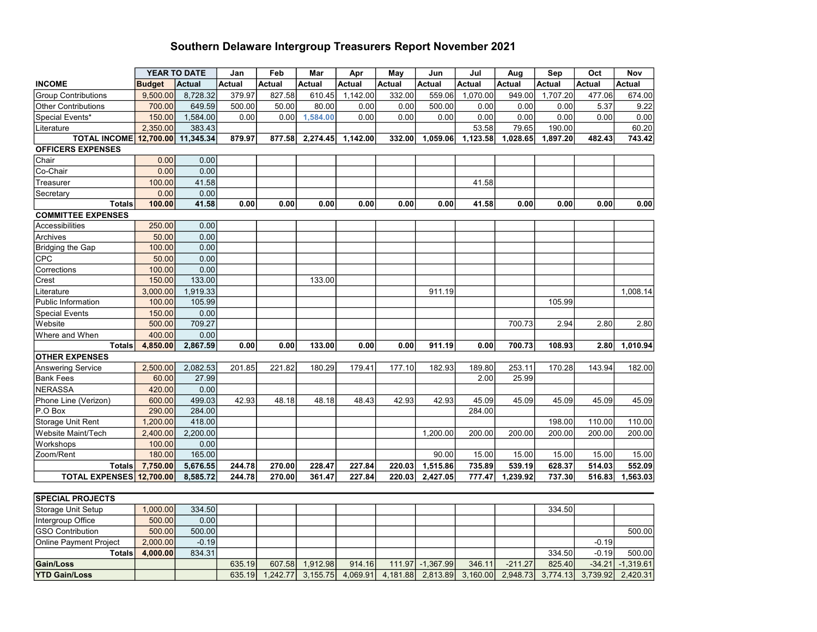## Southern Delaware Intergroup Treasurers Report November 2021

|                               |               | YEAR TO DATE  | Jan           | Feb           | Mar      | Apr      | May           | Jun           | Jul      | Aug           | Sep           | Oct           | Nov           |
|-------------------------------|---------------|---------------|---------------|---------------|----------|----------|---------------|---------------|----------|---------------|---------------|---------------|---------------|
| <b>INCOME</b>                 | <b>Budget</b> | <b>Actual</b> | <b>Actual</b> | <b>Actual</b> | Actual   | Actual   | <b>Actual</b> | <b>Actual</b> | Actual   | <b>Actual</b> | <b>Actual</b> | <b>Actual</b> | <b>Actual</b> |
| <b>Group Contributions</b>    | 9,500.00      | 8,728.32      | 379.97        | 827.58        | 610.45   | 1,142.00 | 332.00        | 559.06        | 1,070.00 | 949.00        | 1,707.20      | 477.06        | 674.00        |
| Other Contributions           | 700.00        | 649.59        | 500.00        | 50.00         | 80.00    | 0.00     | 0.00          | 500.00        | 0.00     | 0.00          | 0.00          | 5.37          | 9.22          |
| Special Events*               | 150.00        | 1,584.00      | 0.00          | 0.00          | 1,584.00 | 0.00     | 0.00          | 0.00          | 0.00     | 0.00          | 0.00          | 0.00          | 0.00          |
| Literature                    | 2,350.00      | 383.43        |               |               |          |          |               |               | 53.58    | 79.65         | 190.00        |               | 60.20         |
| <b>TOTAL INCOME</b>           | 12,700.00     | 11,345.34     | 879.97        | 877.58        | 2,274.45 | 1,142.00 | 332.00        | 1,059.06      | 1,123.58 | 1,028.65      | 1,897.20      | 482.43        | 743.42        |
| <b>OFFICERS EXPENSES</b>      |               |               |               |               |          |          |               |               |          |               |               |               |               |
| Chair                         | 0.00          | 0.00          |               |               |          |          |               |               |          |               |               |               |               |
| Co-Chair                      | 0.00          | 0.00          |               |               |          |          |               |               |          |               |               |               |               |
| Treasurer                     | 100.00        | 41.58         |               |               |          |          |               |               | 41.58    |               |               |               |               |
| Secretary                     | 0.00          | 0.00          |               |               |          |          |               |               |          |               |               |               |               |
| <b>Totals</b>                 | 100.00        | 41.58         | 0.00          | 0.00          | 0.00     | 0.00     | 0.00          | 0.00          | 41.58    | 0.00          | 0.00          | 0.00          | 0.00          |
| <b>COMMITTEE EXPENSES</b>     |               |               |               |               |          |          |               |               |          |               |               |               |               |
| Accessibilities               | 250.00        | 0.00          |               |               |          |          |               |               |          |               |               |               |               |
| Archives                      | 50.00         | 0.00          |               |               |          |          |               |               |          |               |               |               |               |
| <b>Bridging the Gap</b>       | 100.00        | 0.00          |               |               |          |          |               |               |          |               |               |               |               |
| <b>CPC</b>                    | 50.00         | 0.00          |               |               |          |          |               |               |          |               |               |               |               |
| Corrections                   | 100.00        | 0.00          |               |               |          |          |               |               |          |               |               |               |               |
| Crest                         | 150.00        | 133.00        |               |               | 133.00   |          |               |               |          |               |               |               |               |
| Literature                    | 3,000.00      | 1,919.33      |               |               |          |          |               | 911.19        |          |               |               |               | 1,008.14      |
| Public Information            | 100.00        | 105.99        |               |               |          |          |               |               |          |               | 105.99        |               |               |
| <b>Special Events</b>         | 150.00        | 0.00          |               |               |          |          |               |               |          |               |               |               |               |
| Website                       | 500.00        | 709.27        |               |               |          |          |               |               |          | 700.73        | 2.94          | 2.80          | 2.80          |
| Where and When                | 400.00        | 0.00          |               |               |          |          |               |               |          |               |               |               |               |
| <b>Totals</b>                 | 4,850.00      | 2,867.59      | 0.00          | 0.00          | 133.00   | 0.00     | 0.00          | 911.19        | 0.00     | 700.73        | 108.93        | 2.80          | 1,010.94      |
| <b>OTHER EXPENSES</b>         |               |               |               |               |          |          |               |               |          |               |               |               |               |
| <b>Answering Service</b>      | 2,500.00      | 2,082.53      | 201.85        | 221.82        | 180.29   | 179.41   | 177.10        | 182.93        | 189.80   | 253.11        | 170.28        | 143.94        | 182.00        |
| <b>Bank Fees</b>              | 60.00         | 27.99         |               |               |          |          |               |               | 2.00     | 25.99         |               |               |               |
| <b>NERASSA</b>                | 420.00        | 0.00          |               |               |          |          |               |               |          |               |               |               |               |
| Phone Line (Verizon)          | 600.00        | 499.03        | 42.93         | 48.18         | 48.18    | 48.43    | 42.93         | 42.93         | 45.09    | 45.09         | 45.09         | 45.09         | 45.09         |
| P.O Box                       | 290.00        | 284.00        |               |               |          |          |               |               | 284.00   |               |               |               |               |
| Storage Unit Rent             | 1,200.00      | 418.00        |               |               |          |          |               |               |          |               | 198.00        | 110.00        | 110.00        |
| Website Maint/Tech            | 2,400.00      | 2,200.00      |               |               |          |          |               | 1,200.00      | 200.00   | 200.00        | 200.00        | 200.00        | 200.00        |
| Workshops                     | 100.00        | 0.00          |               |               |          |          |               |               |          |               |               |               |               |
| Zoom/Rent                     | 180.00        | 165.00        |               |               |          |          |               | 90.00         | 15.00    | 15.00         | 15.00         | 15.00         | 15.00         |
| <b>Totals</b>                 | 7,750.00      | 5,676.55      | 244.78        | 270.00        | 228.47   | 227.84   | 220.03        | 1,515.86      | 735.89   | 539.19        | 628.37        | 514.03        | 552.09        |
| TOTAL EXPENSES 12,700.00      |               | 8,585.72      | 244.78        | 270.00        | 361.47   | 227.84   | 220.03        | 2,427.05      | 777.47   | 1,239.92      | 737.30        | 516.83        | 1,563.03      |
|                               |               |               |               |               |          |          |               |               |          |               |               |               |               |
| <b>SPECIAL PROJECTS</b>       |               |               |               |               |          |          |               |               |          |               |               |               |               |
| <b>Storage Unit Setup</b>     | 1,000.00      | 334.50        |               |               |          |          |               |               |          |               | 334.50        |               |               |
| Intergroup Office             | 500.00        | 0.00          |               |               |          |          |               |               |          |               |               |               |               |
| <b>GSO Contribution</b>       | 500.00        | 500.00        |               |               |          |          |               |               |          |               |               |               | 500.00        |
| <b>Online Payment Project</b> | 2.000.00      | $-0.19$       |               |               |          |          |               |               |          |               |               | $-0.19$       |               |
| <b>Totals</b>                 | 4,000.00      | 834.31        |               |               |          |          |               |               |          |               | 334.50        | $-0.19$       | 500.00        |
| <b>Gain/Loss</b>              |               |               | 635.19        | 607.58        | 1,912.98 | 914.16   | 111.97        | $-1,367.99$   | 346.11   | $-211.27$     | 825.40        | $-34.21$      | $-1,319.61$   |
| <b>YTD Gain/Loss</b>          |               |               | 635.19        | 1,242.77      | 3,155.75 | 4,069.91 | 4,181.88      | 2,813.89      | 3,160.00 | 2,948.73      | 3,774.13      | 3,739.92      | 2,420.31      |